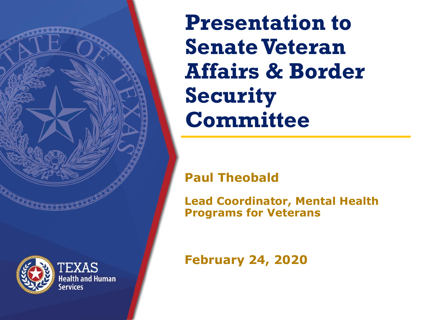**Presentation to Senate Veteran Affairs & Border Security Committee**

#### **Paul Theobald**

**Lead Coordinator, Mental Health Programs for Veterans**

**February 24, 2020**



**EXAS Jealth and Human**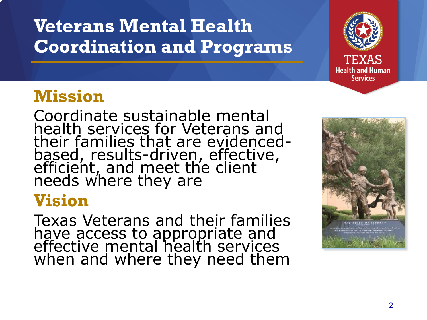### **Veterans Mental Health Coordination and Programs**



### **Mission**

Coordinate sustainable mental health services for Veterans and their families that are evidencedbased, results-driven, effective, efficient, and meet the client needs where they are

### **Vision**

Texas Veterans and their families have access to appropriate and effective mental health services when and where they need them

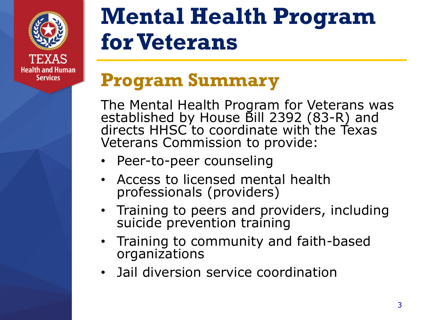

# **Mental Health Program for Veterans**

### **Program Summary**

The Mental Health Program for Veterans was established by House Bill 2392 (83-R) and directs HHSC to coordinate with the Texas Veterans Commission to provide:

- Peer-to-peer counseling
- Access to licensed mental health professionals (providers)
- Training to peers and providers, including suicide prevention training
- Training to community and faith-based organizations
- Jail diversion service coordination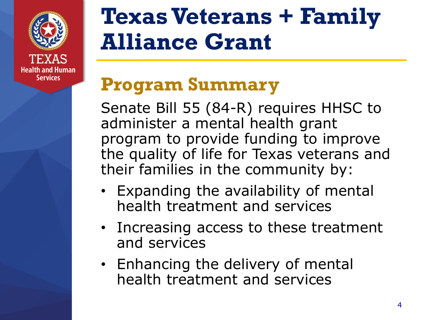

**Services** 

# **Texas Veterans + Family Alliance Grant**

### **Program Summary**

Senate Bill 55 (84-R) requires HHSC to administer a mental health grant program to provide funding to improve the quality of life for Texas veterans and their families in the community by:

- Expanding the availability of mental health treatment and services
- Increasing access to these treatment and services
- Enhancing the delivery of mental health treatment and services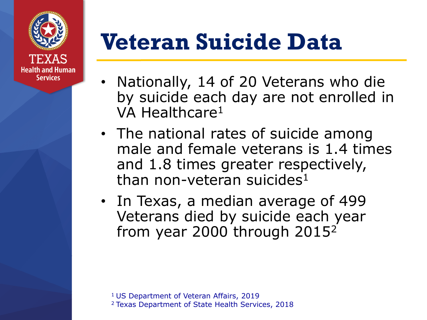

# **Veteran Suicide Data**

- Nationally, 14 of 20 Veterans who die by suicide each day are not enrolled in VA Healthcare<sup>1</sup>
- The national rates of suicide among male and female veterans is 1.4 times and 1.8 times greater respectively, than non-veteran suicides<sup>1</sup>
- In Texas, a median average of 499 Veterans died by suicide each year from year 2000 through 2015<sup>2</sup>

<sup>1</sup> US Department of Veteran Affairs, 2019 2 Texas Department of State Health Services, 2018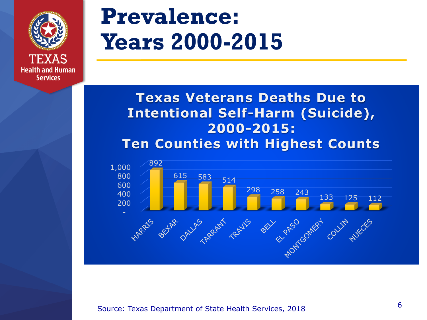

**Health and Human Services** 

## **Prevalence: Years 2000-2015**

#### **Texas Veterans Deaths Due to Intentional Self-Harm (Suicide), 2000-2015: Ten Counties with Highest Counts**



Source: Texas Department of State Health Services, 2018 6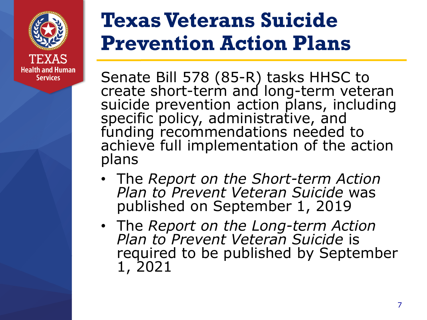

## **Texas Veterans Suicide Prevention Action Plans**

Senate Bill 578 (85-R) tasks HHSC to create short-term and long-term veteran suicide prevention action plans, including specific policy, administrative, and funding recommendations needed to achieve full implementation of the action plans

- The *Report on the Short-term Action Plan to Prevent Veteran Suicide* was published on September 1, 2019
- The *Report on the Long-term Action Plan to Prevent Veteran Suicide* is required to be published by September 1, 2021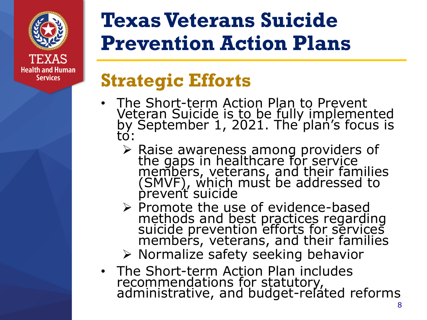

## **Texas Veterans Suicide Prevention Action Plans**

### **Strategic Efforts**

- The Short-term Action Plan to Prevent Veteran Suicide is to be fully implemented by September 1, 2021. The plan's focus is to:
	- ➢ Raise awareness among providers of the gaps in healthcare for service members, veterans, and their families (SMVF), which must be addressed to prevent suicide
	- ➢ Promote the use of evidence-based methods and best practices regarding suicide prevention efforts for services members, veterans, and their families
	- ➢ Normalize safety seeking behavior
- The Short-term Action Plan includes recommendations for statutory, administrative, and budget-related reforms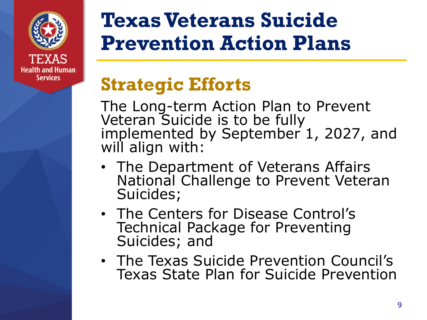

**Services** 

## **Texas Veterans Suicide Prevention Action Plans**

## **Strategic Efforts**

The Long-term Action Plan to Prevent Veteran Suicide is to be fully implemented by September 1, 2027, and will align with:

- The Department of Veterans Affairs National Challenge to Prevent Veteran Suicides;
- The Centers for Disease Control's Technical Package for Preventing Suicides; and
- The Texas Suicide Prevention Council's Texas State Plan for Suicide Prevention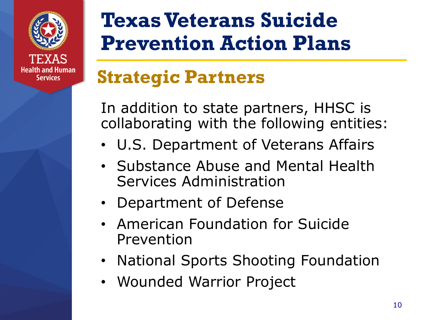

## **Texas Veterans Suicide Prevention Action Plans**

## **Strategic Partners**

In addition to state partners, HHSC is collaborating with the following entities:

- U.S. Department of Veterans Affairs
- Substance Abuse and Mental Health Services Administration
- Department of Defense
- American Foundation for Suicide Prevention
- National Sports Shooting Foundation
- Wounded Warrior Project